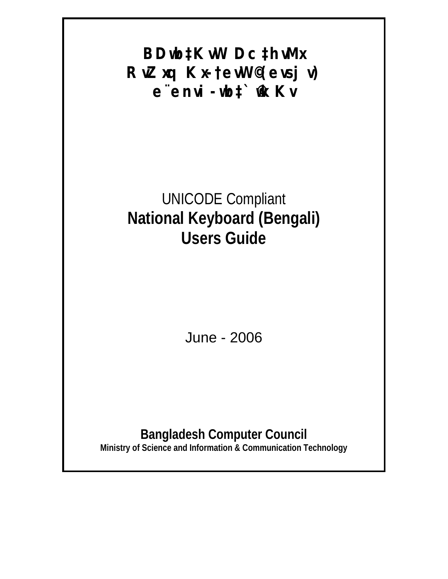

**Bangladesh Computer Council** 

Ministry of Science and Information & Communication Technology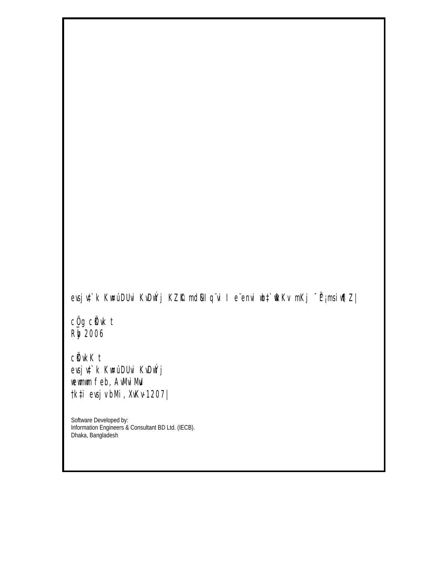### evsjut k Kumi DU i Kuhij KZR mdi qui I e emi ust ikkv mKj "Ë msi vi Z|

c**Ôg cũ k t Ry 2006** 

c**ä**kKt evsjut k Kwublui Kudwij veunun feb, AVMi Md tk‡i evsjvbMi, XvKv1207|

Software Developed by: Information Engineers & Consultant BD Ltd. (IECB). Dhaka, Bangladesh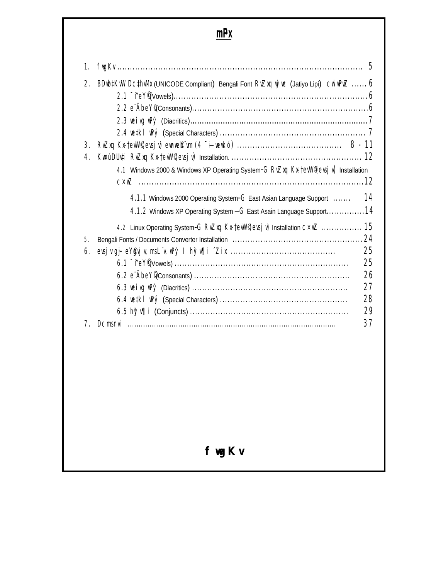#### **nPx** 2. BDISTKUVDC#MMK(UNICODE Compliant) Bengali Font RVZxq vjue (Jatiyo Lipi) cuivPuZ ...... 6 4.1 Windows 2000 & Windows XP Operating System-G Ruzzq Kxtell@exi \ Installation 4.1.1 Windows 2000 Operating System-G East Asian Language Support ....... 14 4.1.2 Windows XP Operating System -G East Asain Language Support................14 4.2 Linux Operating System-G RV2xq Kxtellf(exj) Installation C xv ................. 15 25 25 26 27 28 29 37

## **f** vg Kv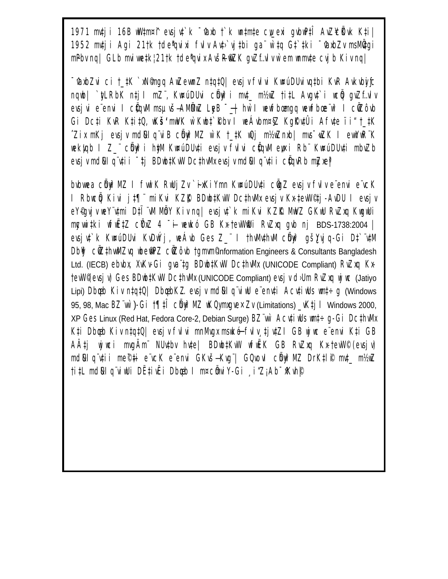1971 mij i 16B Wilm¤t evsjut k "laxb t" k wilmte cwexi gubwill Auz¥üluk K‡i | 1952 mtji Agi 211k tde'yuni fulvA $\Phi$  utbi ga wtg Gt tki abbZv malligi mPbvng| GLb miwe#k¦21tk tde\*tyixAvšR@ZK gyZfulvwemwm#e cyjb Kivng|

"CashZui ci t\_#K `xV9nng AuZeunz ntatQ| eusjvfului KuxuDUuiugthi KuR AukubitC ngib | `tilRbK ntj i mž", KutúDibi cityf i mt\_ nt/si titil Avgit i veg gvz£silv evsivi e emi I cüm mau s-ANÜMZ LeB - - hu I verfbæng verfbæ uf I cizob Gi Dcti KvR KtitO, Wš'mWK wKut; Rbv I wÁvbm¤gZ KgRvtÛi Afvte ïi"t\_tK "Zix mKj evsjv mdWl q"uiB ciby? MZ w`K t\_tK wQj mt/sZmb| ms" wZK I ewNwR"K vekigb I Z\_" ciby? i html KwaiDUti evsjv fului cibnM eys i Rb" KwaiDUti mbvZb evsj vmdill q "ti i "tj BDub#KWDc#wMkevsj vmdill q "ti i cihnRb mZre?

bubupa cihi? NZ I fulk Rulj Zv`i KiYm KuruDU ti cih Z ersjv fulve emi e cK I Rbusů Kivi jty miku KZŘ BDuhtkuV Dothylke usiv Kxtevlíči-Avou I eusiv eY@gyjvweY`ytmi D‡I`WINDY Kivng| evsjyt`k miKyi KZR NWZ GKW RyZxg KwgWi mewitki wfultz cünz 4 <sup>-</sup>i-weukó GB Kxteululli Ruzxq gub nj BDS-1738:2004 | evsju" k KumiDU i KuDuYj, veÁvb Ges Z\_" I thuyuthuy chef qšyujq-Gi D‡ "utvi **Dbif cütinulizu we@Z cütob tamm**Phformation Engineers & Consultants Bangladesh Ltd. (IECB) ebuby XKvGi gva tg BDubtKWV DcthwWk (UNICODE Compliant) RuZxq Kx **teuniques in Ges BDubtKuWDcthwMk**(UNICODE Compliant) eus v dbum Ruzxq ujus (Jatiyo Lipi) Dbgb KivntqtQ| DbgbKZ. evsjvmdlH q"uiw e"emti Activus wrt÷g (Windows 95, 98, Mac BZ wi)-Gi 11 fi chif NZ Komgre×Zv(Limitations) \_Ktj I Windows 2000, XP Ges Linux (Red Hat, Fedora Core-2, Debian Surge) **BZ wi Actills wt÷g-Gi Dc#nMk** K‡i Dbgb KivntqtQ| evsjv fului mnMqxmské fulv tjutZI GB ujus e emi K‡i GB AAtj vjvci maAni NUtby hyte BDubtKuV vfuEK GB RuZxq KxteuN© (evsj.) **mdëli qëti i me©ti e ck e emi GKuš-Kugël GQuoul ciline ME DrK‡li e mt\_ mt/sez** titL ndël që u vi Dëti vë i Dbgb i nredhi Y-Gi i "Z;Ab" :Kvh P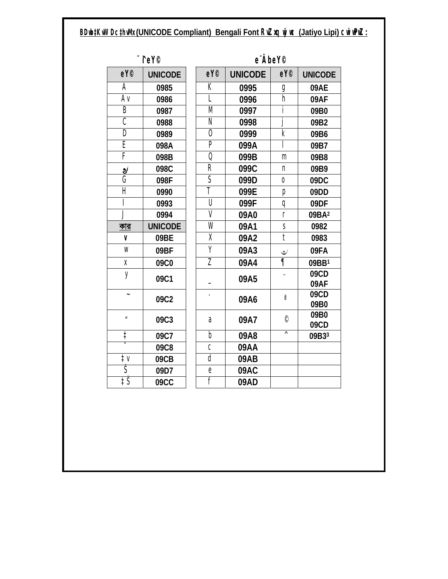#### **BDLL#KWDC#hWk(UNICODE Compliant) Bengali Font RvZxq vjve (Jatiyo Lipi) curvAZ:**

| <b>fey©</b>   |                |  |  |  |  |  |  |  |
|---------------|----------------|--|--|--|--|--|--|--|
| eY©           | <b>UNICODE</b> |  |  |  |  |  |  |  |
| A             | 0985           |  |  |  |  |  |  |  |
| Av            | 0986           |  |  |  |  |  |  |  |
| B             | 0987           |  |  |  |  |  |  |  |
| C             | 0988           |  |  |  |  |  |  |  |
| D             | 0989           |  |  |  |  |  |  |  |
| E             | 098A           |  |  |  |  |  |  |  |
| F             | 098B           |  |  |  |  |  |  |  |
|               | 098C           |  |  |  |  |  |  |  |
| $\frac{v}{c}$ | 098F           |  |  |  |  |  |  |  |
| $\frac{1}{1}$ | 0990           |  |  |  |  |  |  |  |
|               | 0993           |  |  |  |  |  |  |  |
|               | 0994           |  |  |  |  |  |  |  |
| <u>কার</u>    | <b>UNICODE</b> |  |  |  |  |  |  |  |
| V             | 09BE           |  |  |  |  |  |  |  |
| W             | 09BF           |  |  |  |  |  |  |  |
| X             | 09C0           |  |  |  |  |  |  |  |
| y             | 09C1           |  |  |  |  |  |  |  |
|               | 09C2           |  |  |  |  |  |  |  |
| II            | 09C3           |  |  |  |  |  |  |  |
| ţ             | 09C7           |  |  |  |  |  |  |  |
|               | 09C8           |  |  |  |  |  |  |  |
| ‡v            | 09CB           |  |  |  |  |  |  |  |
| Š             | 09D7           |  |  |  |  |  |  |  |
| tŠ            | 09CC           |  |  |  |  |  |  |  |

e **ÄbeY©** eY<sup>©</sup> eY<sup>©</sup> **UNICODE UNICODE**  $\overline{\mathbf{K}}$ 0995 09AE  $\boldsymbol{g}$ 0996 09AF L h M 0997 Î. 09B0  $\overline{\bf N}$ Ĵ 0998 09B2  $\overline{\mathbf{0}}$ 0999  $\overline{\mathbf{k}}$ 09B6  $\overline{\mathbf{P}}$ 099A П 09B7  $\overline{\mathbf{0}}$ 09B8 099B  $\mathbf m$  $\overline{\mathbf{R}}$ 099C 09B9  $\blacksquare$  $\overline{\mathbf{s}}$ 099D 09DC  $\mathbf 0$  $\overline{\mathbf{T}}$ 099E 09DD P  $\overline{\mathbf{U}}$ 099F 09DF q  $\overline{\mathbf{V}}$ 09A0 09BA<sup>2</sup> r  $\overline{\mathbf{w}}$ 09A1  $\mathbf{s}$ 0982  $\overline{\mathbf{X}}$ 09A2  $\overline{\mathbf{t}}$ 0983 Y 09A3 09FA پ  $\overline{\mathbf{z}}$ 09A4  $\overline{\mathbf{P}}$  $09BB<sup>1</sup>$  $09CD$  $\ddot{\phantom{a}}$ 09A5  $\blacksquare$ 09AF 09CD  $\bar{\mathbf{z}}$  $\bullet$ 09A6 09B0 09B0 09A7  $\mathbf{\Theta}$ a 09CD  $\overline{\mathbf{A}}$ 09A8  $09B33$  $\overline{\mathbf{b}}$  $09AA$  $\mathbf{c}$  $\overline{\mathbf{d}}$  $09AB$ 09AC  $\mathbf e$ f 09AD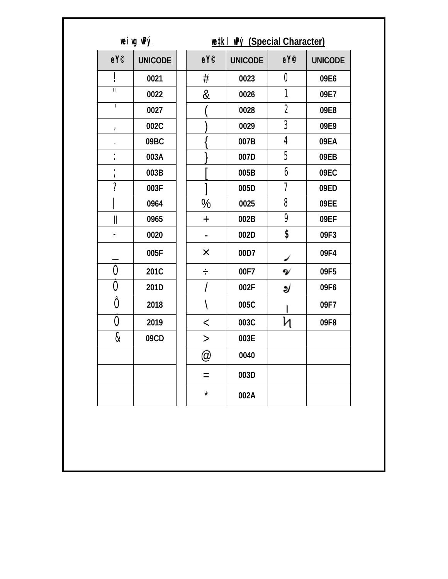| eY <sup>©</sup>      | <b>UNICODE</b> | eY <sup>©</sup> | <b>UNICODE</b> | eY <sup>©</sup> | <b>UNICODE</b> |
|----------------------|----------------|-----------------|----------------|-----------------|----------------|
|                      |                |                 |                |                 |                |
| ŗ<br>Ш               | 0021           | #               | 0023           | 0               | 09E6           |
|                      | 0022           | &               | 0026           | 1               | 09E7           |
| П                    | 0027           |                 | 0028           | 2               | 09E8           |
| ı                    | 002C           |                 | 0029           | 3               | 09E9           |
| $\bullet$            | 09BC           |                 | 007B           | 4               | 09EA           |
| $\ddot{\phantom{a}}$ | 003A           |                 | 007D           | 5               | 09EB           |
| $\prime$             | 003B           |                 | 005B           | 6               | 09EC           |
| ?                    | 003F           |                 | 005D           | 7               | 09ED           |
|                      | 0964           | %               | 0025           | 8               | 09EE           |
| II                   | 0965           | $\ddagger$      | 002B           | 9               | 09EF           |
| п                    | 0020           |                 | 002D           | \$              | 09F3           |
|                      | 005F           | $\times$        | 00D7           | ◢               | 09F4           |
| Ò                    | 201C           | $\div$          | 00F7           | จ⁄              | 09F5           |
| Ó                    | 201D           |                 | 002F           | ป               | 09F6           |
| Ô                    | 2018           |                 | 005C           |                 | 09F7           |
| Õ                    | 2019           | $\,<\,$         | 003C           | N               | 09F8           |
| &                    | 09CD           | $\rm{>}$        | 003E           |                 |                |
|                      |                | @               | 0040           |                 |                |
|                      |                | $=$             | 003D           |                 |                |
|                      |                | $^\star$        | 002A           |                 |                |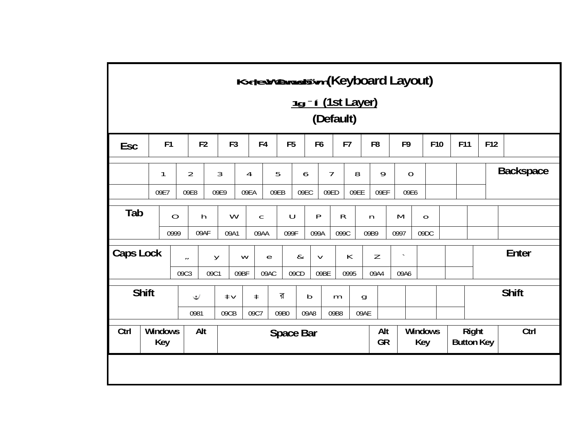|            |              |                       |                                 |                      |                                 |                    |                |                | Kxteuren en (Keyboard Layout)<br>1g <sup>-</sup> f (1st Layer) | (Default)            |                |           |                |                  |                               |                   |                            |                 |                  |
|------------|--------------|-----------------------|---------------------------------|----------------------|---------------------------------|--------------------|----------------|----------------|----------------------------------------------------------------|----------------------|----------------|-----------|----------------|------------------|-------------------------------|-------------------|----------------------------|-----------------|------------------|
| <b>Esc</b> |              | F <sub>1</sub>        |                                 | F <sub>2</sub>       | F <sub>3</sub>                  |                    | F <sub>4</sub> | F <sub>5</sub> |                                                                | F <sub>6</sub>       | F <sub>7</sub> |           | F <sub>8</sub> |                  | F <sub>9</sub>                | F <sub>10</sub>   | F11                        | F <sub>12</sub> |                  |
|            |              | 1<br>09E7             | $\overline{\mathbf{2}}$<br>09E8 |                      | $\overline{\mathbf{3}}$<br>09E9 | 4<br>09EA          |                | 5<br>09EB      | 6<br>09EC                                                      | 7<br>09ED            |                | 8<br>09EE |                | 9<br>09EF        | $\bullet$<br>09E6             |                   |                            |                 | <b>Backspace</b> |
| Tab        |              | $\mathbf 0$<br>0999   |                                 | $\mathbf{h}$<br>09AF | W<br>09A1                       |                    | C<br>09AA      | U<br>099F      | P<br>099A                                                      |                      | R<br>099C      |           | n<br>09B9      |                  | M<br>0997                     | $\bullet$<br>09DC |                            |                 |                  |
| Caps Lock  |              |                       | $\boldsymbol{H}$<br>09C3        | y<br>09C1            |                                 | W<br>09BF          | e<br>09AC      |                | &<br>09CD                                                      | $\mathbf{v}$<br>09BE |                | K<br>0995 | Z<br>09A4      |                  | $\blacktriangleright$<br>09A6 |                   |                            |                 | <b>Enter</b>     |
|            | <b>Shift</b> |                       |                                 | پ<br>0981            | ‡v<br>09CB                      | $\ddagger$<br>09C7 |                | র<br>09B0      | $\mathbf b$<br>09A8                                            |                      | m<br>09B8      | g<br>09AE |                |                  |                               |                   |                            |                 | <b>Shift</b>     |
| Ctrl       |              | Windows<br><b>Key</b> |                                 | Alt                  |                                 |                    |                |                | <b>Space Bar</b>                                               |                      |                |           |                | Alt<br><b>GR</b> |                               | Windows<br>Key    | Right<br><b>Button Key</b> |                 | Ctrl             |
|            |              |                       |                                 |                      |                                 |                    |                |                |                                                                |                      |                |           |                |                  |                               |                   |                            |                 |                  |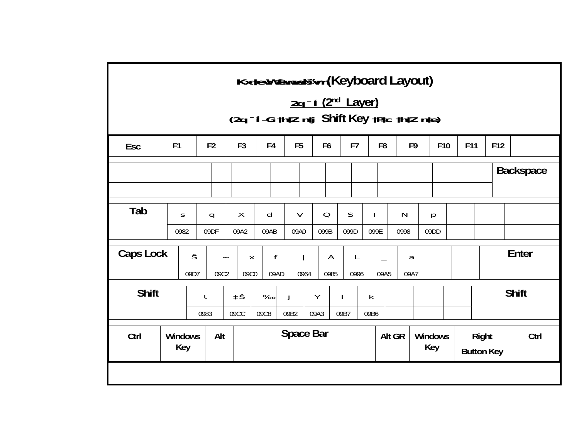|                  |                |                |                |           |                  |                | KxteukeuneD'un (Keyboard Layout)<br>(2q <sup>-</sup> í-G th‡Z n‡j Shift Key tP‡c th‡Z n‡e) | $2q$ <sup>-f</sup> (2 <sup>nd</sup> Layer) |                |                |             |                |        |      |      |                |     |                            |     |                  |
|------------------|----------------|----------------|----------------|-----------|------------------|----------------|--------------------------------------------------------------------------------------------|--------------------------------------------|----------------|----------------|-------------|----------------|--------|------|------|----------------|-----|----------------------------|-----|------------------|
| <b>Esc</b>       | F <sub>1</sub> |                | F <sub>2</sub> |           | F <sub>3</sub>   | F <sub>4</sub> | F <sub>5</sub>                                                                             |                                            | F <sub>6</sub> | F <sub>7</sub> |             | F <sub>8</sub> |        | F9   |      | F10            | F11 |                            | F12 |                  |
|                  |                |                |                |           |                  |                |                                                                                            |                                            |                |                |             |                |        |      |      |                |     |                            |     | <b>Backspace</b> |
| Tab              |                | S              | q              |           | $\boldsymbol{X}$ | $\mathbf d$    | $\mathbf{V}$                                                                               |                                            | $\mathbf 0$    | $\mathbf S$    |             | T              | N      |      | p    |                |     |                            |     |                  |
|                  |                | 0982           | 09DF           |           | 09A2             | 09AB           | 09A0                                                                                       |                                            | 099B           | 099D           |             | 099E           | 0998   |      | 09DD |                |     |                            |     |                  |
| <b>Caps Lock</b> |                | Š              |                | $\bullet$ | $\mathbf{x}$     | f              |                                                                                            |                                            | A              | L              |             |                |        | a    |      |                |     |                            |     | <b>Enter</b>     |
|                  |                | 09D7           |                | 09C2      | 09C0             | 09AD           |                                                                                            | 0964                                       | 0985           | 0996           |             | 09A5           |        | 09A7 |      |                |     |                            |     |                  |
| <b>Shift</b>     |                |                | t              |           | ‡Š               | %              | j                                                                                          | Y                                          |                | П              | $\mathbf k$ |                |        |      |      |                |     |                            |     | <b>Shift</b>     |
|                  |                |                | 0983           |           | 09CC             | 09C8           | 09B2                                                                                       | 09A3                                       |                | 09B7           | 09B6        |                |        |      |      |                |     |                            |     |                  |
| Ctrl             |                | Windows<br>Key | Alt            |           |                  |                | <b>Space Bar</b>                                                                           |                                            |                |                |             |                | Alt GR |      | Key  | <b>Windows</b> |     | Right<br><b>Button Key</b> |     | Ctrl             |
|                  |                |                |                |           |                  |                |                                                                                            |                                            |                |                |             |                |        |      |      |                |     |                            |     |                  |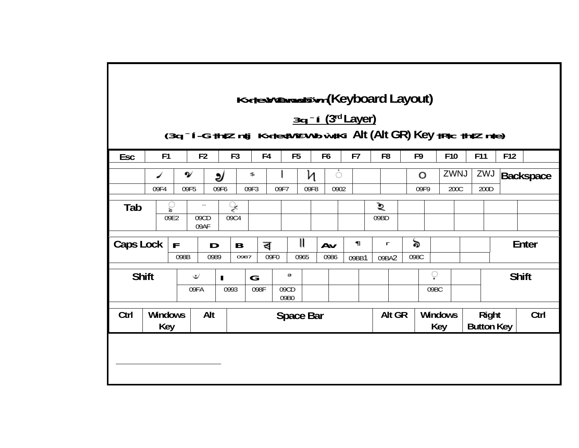|              |                       |            |                                  |           |                |            |                |                   |                  |                                          |           |               | Kxteureumen im (Keyboard Layout)                                                 |           |           |                       |              |                            |     |              |
|--------------|-----------------------|------------|----------------------------------|-----------|----------------|------------|----------------|-------------------|------------------|------------------------------------------|-----------|---------------|----------------------------------------------------------------------------------|-----------|-----------|-----------------------|--------------|----------------------------|-----|--------------|
|              |                       |            |                                  |           |                |            |                |                   |                  | $3q$ $\tilde{I}$ (3 <sup>rd</sup> Layer) |           |               | (3q <sup>-f</sup> i-G thtz ntj KxtertWP Wb witKi Alt (Alt GR) Key tPtc thtz nte) |           |           |                       |              |                            |     |              |
| <b>Esc</b>   | F <sub>1</sub>        |            | F <sub>2</sub>                   |           | F <sub>3</sub> |            | F <sub>4</sub> | F <sub>5</sub>    |                  | F <sub>6</sub>                           |           | F7            | F <sub>8</sub>                                                                   |           | F9        | F10                   |              | F11                        | F12 |              |
|              | 09F4                  |            | ৵<br>09F5                        | ৶<br>09F6 |                | \$<br>09F3 | 09F7           |                   | и<br>09F8        |                                          | Ò<br>0902 |               |                                                                                  |           | O<br>09F9 |                       | ZWNJ<br>200C | ZWJ<br>200D                |     | Backspace    |
| Tab          |                       | ្ត<br>09E2 | $\bullet\bullet$<br>09CD<br>09AF |           | ş<br>09C4      |            |                |                   |                  |                                          |           |               | ঽ<br>09BD                                                                        |           |           |                       |              |                            |     |              |
| Caps Lock    |                       | F<br>098B  |                                  | D<br>0989 | B<br>0987      |            | ৰ<br>09F0      |                   | II<br>0965       | Av<br>0986                               |           | $\P$<br>09BB1 | r<br>09BA2                                                                       | ৯<br>098C |           |                       |              |                            |     | <b>Enter</b> |
| <b>Shift</b> |                       |            | ری<br>09FA                       |           | 0993           | G<br>098F  |                | a<br>09CD<br>09B0 |                  |                                          |           |               |                                                                                  |           | 09BC      |                       |              |                            |     | <b>Shift</b> |
| Ctrl         | <b>Windows</b><br>Key |            |                                  | Alt       |                |            |                |                   | <b>Space Bar</b> |                                          |           |               | Alt GR                                                                           |           |           | <b>Windows</b><br>Key |              | Right<br><b>Button Key</b> |     | Ctrl         |
|              |                       |            |                                  |           |                |            |                |                   |                  |                                          |           |               |                                                                                  |           |           |                       |              |                            |     |              |

Г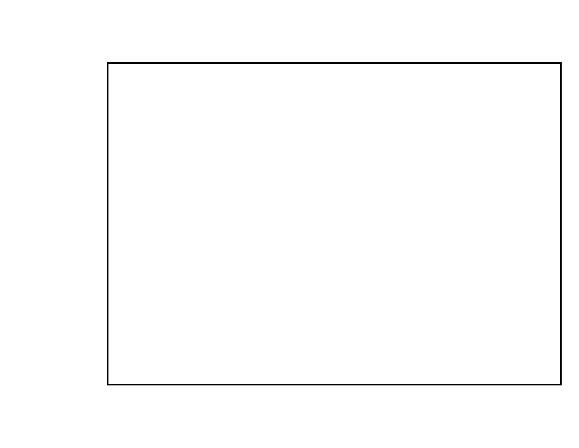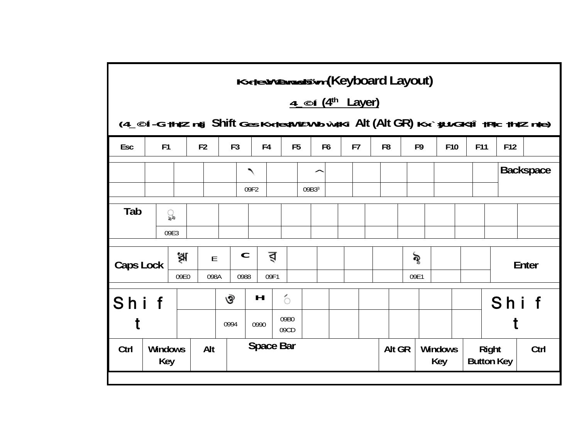| <b>(4_<sup>@</sup> i-G thtZ ntj Shift Ges KxtertWP Wb wtKi Alt (Alt GR) Kx tJugkti tPtc thtZ nte)</b> | KxteukeuneD'un (Keyboard Layout) | 4_© f (4th Layer) |                           |                |                  |                |                |      |                       |                  |
|-------------------------------------------------------------------------------------------------------|----------------------------------|-------------------|---------------------------|----------------|------------------|----------------|----------------|------|-----------------------|------------------|
| F <sub>9</sub><br>F <sub>10</sub><br>F11<br>F12                                                       | F <sub>8</sub>                   | F7                | F <sub>6</sub>            | F <sub>5</sub> | F <sub>4</sub>   | F <sub>3</sub> | F <sub>2</sub> |      | F1                    | <b>Esc</b>       |
| <b>Backspace</b>                                                                                      |                                  |                   | $\blacktriangle$<br>09B33 |                |                  | ↖<br>09F2      |                |      |                       |                  |
|                                                                                                       |                                  |                   |                           |                |                  |                |                |      | ್ಣ                    | Tab              |
| ৡ                                                                                                     |                                  |                   |                           |                | ৱ                | C              | E              | ৠ    | 09E3                  |                  |
| Enter<br>09E1                                                                                         |                                  |                   |                           |                | 09F1             | 0988           | 098A           | 09E0 |                       | <b>Caps Lock</b> |
| Shif                                                                                                  |                                  |                   |                           | б              | Н                | ঔ              |                |      |                       | Shif             |
|                                                                                                       |                                  |                   |                           | 09B0<br>09CD   | 0990             | 0994           |                |      |                       |                  |
| Ctrl<br><b>Windows</b><br>Right<br><b>Button Key</b><br>Key                                           | Alt GR                           |                   |                           |                | <b>Space Bar</b> |                | Alt            |      | <b>Windows</b><br>Key | Ctrl             |
|                                                                                                       |                                  |                   |                           |                |                  |                |                |      |                       |                  |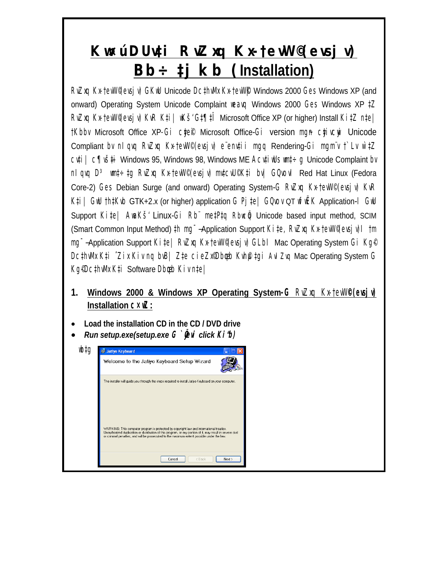# **Kw¤úDUv‡i RvZxq Kx-†evW© (evsjv) Bb÷‡jkb (Installation)**

RvZxq Kx<sup>+</sup>tevMQ evsjv) GKW Unicode Dc#wMx Kx<sup>+</sup>tevM<sup>®</sup> Windows 2000 Ges Windows XP (and onward) Operating System Unicode Complaint **weavq** Windows 2000 Ges Windows XP <sup>12</sup> RvZxq Kx+†evW@ (evsjv) KvR K‡i | wKš G‡¶‡î Microsoft Office XP (or higher) Install Ki‡Z n‡e **†Kbbv** Microsoft Office XP**-Gi c‡e**® Microsoft Office-Gi version mgn c‡ivcyi Unicode Compliant by niqvq RvZxq Kx-†evM© (evsjv) e emtii mgq Rendering-Gi mgmiv †`Lv w`‡Z cu‡i| c¶vš#i Windows 95, Windows 98, Windows ME Acu‡iwUs wn‡÷g Unicode Complaint bv niquq D<sup>3</sup> wt÷tg RuZxq KxteuW@ (evsjv) mutcuU© Kti bv| GQuovi Red Hat Linux (Fedora Core-2) Ges Debian Surge (and onward) Operating System-G RuZxq Kx+†euW© (evsjv) KvR K#i | GW †h#Kub GTK+2.x (or higher) application G Pj#e | GQuovQT wfwEK Application-I GW Support Ki‡e| AwKš' Linux-Gi Rb<sup>e</sup> me‡P‡q RbueÖ Unicode based input method, SCIM (Smart Common Input Method) # mg<sup>-</sup> Application Support Kite, RuZxq KxteuWQ evsiv)I tm mg<sup>-</sup>Application Support Ki‡e| RuZxq Kx†euM@ (exsiv) GLbI Mac Operating System Gi Kg<sup>o</sup> Dc#wWkK‡i ^ZixKivnq bvB| Z‡e cieZx®bgb Kvh@‡gi AvIZvq Mac Operating System G Kg**@c#nWkK‡i Software Dbgb Kivn‡e|** 

- 1. Windows 2000 & Windows XP Operating System-**G RvZxq KxtelW<sup>o</sup>(evsiv) Installation c×wZ:**
- **Load the installation CD in the CD / DVD drive**
- *Run setup.exe(setup.exe* **G `yÕevi** *click* **Ki"b)**

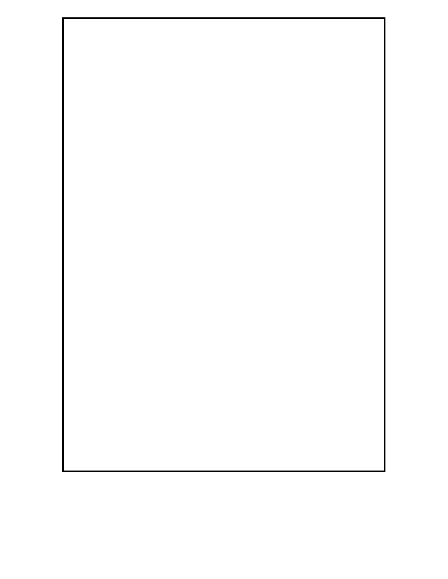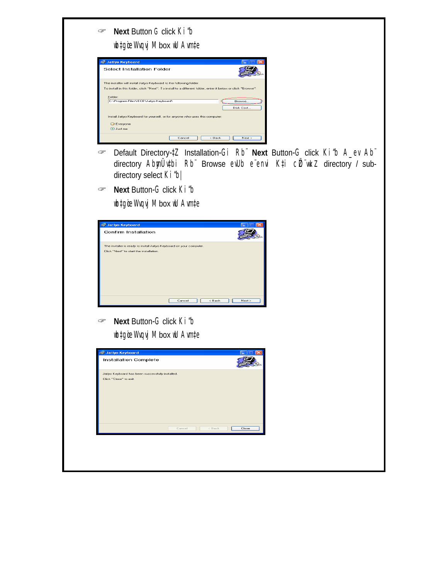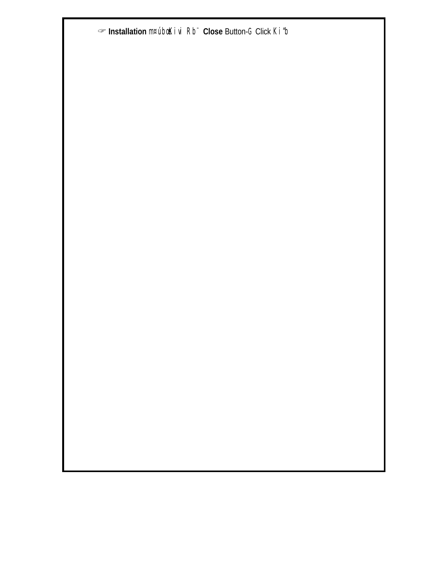Installation manufaction Rb" Close Button-G Click Kib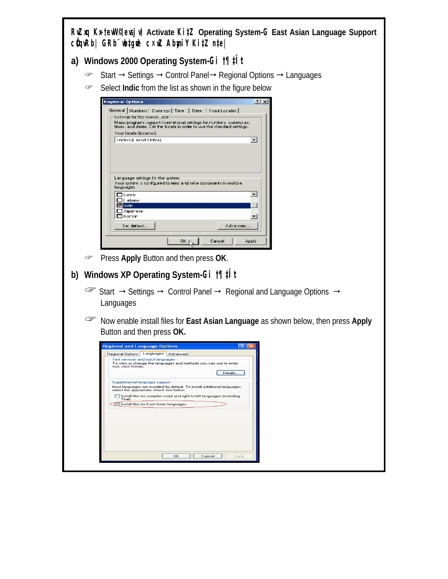#### **RvZxq Kx-†evW© (evsjv) Activate Ki‡Z Operating System-G East Asian Language Support cÖqvRb| GRb¨ whtgue c×wZ AbymiY KitZ n‡e| a) Windows 2000 Operating System-Gi †¶‡Ît**   $\text{Start} \rightarrow \text{Setting} \rightarrow \text{Control Panel} \rightarrow \text{ Regional Options} \rightarrow \text{Languages}$ Select **Indic** from the list as shown in the figure below Regional Options  $2 \times 1$ General Numbers Currency | Time | Date | Input Locales | Settings for the ellirent user-Many programs support interretional settings for numbers, sumenoles,<br>times, and dates. Cet the locale in order to use the standard settings. Your locale (location) Engine (Finded States) 그 Language settings for the system. Your system is configured to read and write accuments in multiple languages  $\square$  targets  $\left| \rule{0.2cm}{0.2cm} \right|$ Di obiew<br>**Di** India Japaneze Ekoram  $\blacksquare$ Set default. Advanced... <u>ok p 1</u> Cancel Apply " Press **Apply** Button and then press **OK**. **b) Windows XP Operating System-Gi †¶‡Ît**   $\mathcal{F}$  Start  $\rightarrow$  Settings  $\rightarrow$  Control Panel  $\rightarrow$  Regional and Language Options  $\rightarrow$ Languages " Now enable install files for **East Asian Language** as shown below, then press **Apply** Button and then press **OK. Regional and Language Options**  $\overline{z}$ Regional Options Languages Advanced egional Options | Languages | <u>Advanced |</u><br>Text services and input languages<br>To view or change the languages and methods you can use to enter<br>text, click Details. Details... Supplemental language support Most languages are installed by default. To install additional languages, select the appropriate check box below.  $\Box$  Install files for complex script and right-to-left languages (including Thai) Install files for East Asian languages  $\Box$   $\Box$   $\Box$  $\sqrt{2}$  $OK$ Apply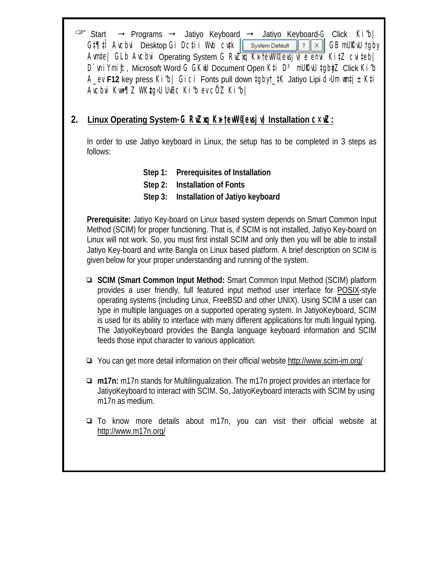$\mathcal{F}$  Start  $\rightarrow$  Programs  $\rightarrow$  Jatiyo Keyboard  $\rightarrow$  Jatiyo Keyboard-C Click Kib **G‡¶‡Î Avcbvi** Desktop Gi Dc‡ii Wb cv‡k  $||$  System Default  $|| \cdot || \times ||$  GB m**URVU †gby** Avnte| GLb Avcbui Operating System G RvZxq Kx<sup>+</sup>†evW@ exsive envi Ki‡Z cvi‡eb| D` wiYmi£, Microsoft Word G GKW Document Open K‡i D<sup>3</sup> mURU ‡gb**jZ** Click Ki**1 A\_ev F12** key press Kib| Gici Fonts pull down **‡gby |\_#K** Jatiyo Lipi **d>Um wtj ± K‡i** Avchui Kuw¶Z WKzqoU UuBc Ki b ev cÖZ Ki b|

### **2. Linux Operating System-G RvZxq Kx-†evW© (evsjv) Installation c×wZ:**

In order to use Jatiyo keyboard in Linux, the setup has to be completed in 3 steps as follows:

- **Step 1: Prerequisites of Installation**
- **Step 2: Installation of Fonts**
- **Step 3: Installation of Jatiyo keyboard**

**Prerequisite:** Jatiyo Key-board on Linux based system depends on Smart Common Input Method (SCIM) for proper functioning. That is, if SCIM is not installed, Jatiyo Key-board on Linux will not work. So, you must first install SCIM and only then you will be able to install Jatiyo Key-board and write Bangla on Linux based platform. A brief description on SCIM is given below for your proper understanding and running of the system.

- **SCIM (Smart Common Input Method:** Smart Common Input Method (SCIM) platform provides a user friendly, full featured input method user interface for POSIX-style operating systems (including Linux, FreeBSD and other UNIX). Using SCIM a user can type in multiple languages on a supported operating system. In JatiyoKeyboard, SCIM is used for its ability to interface with many different applications for multi lingual typing. The JatiyoKeyboard provides the Bangla language keyboard information and SCIM feeds those input character to various application.
- □ You can get more detail information on their official website http://www.scim-im.org/
- **m17n:** m17n stands for Multilingualization. The m17n project provides an interface for JatiyoKeyboard to interact with SCIM. So, JatiyoKeyboard interacts with SCIM by using m17n as medium.
- To know more details about m17n, you can visit their official website at http://www.m17n.org/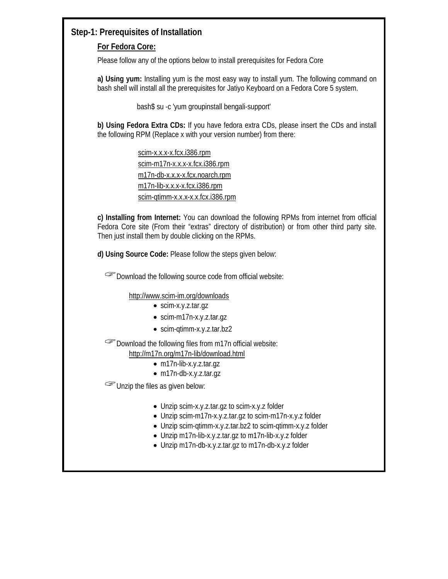#### **Step-1: Prerequisites of Installation**

#### **For Fedora Core:**

Please follow any of the options below to install prerequisites for Fedora Core

**a) Using yum:** Installing yum is the most easy way to install yum. The following command on bash shell will install all the prerequisites for Jatiyo Keyboard on a Fedora Core 5 system.

bash\$ su -c 'yum groupinstall bengali-support'

**b) Using Fedora Extra CDs:** If you have fedora extra CDs, please insert the CDs and install the following RPM (Replace x with your version number) from there:

> scim-x.x.x-x.fcx.i386.rpm scim-m17n-x.x.x-x.fcx.i386.rpm m17n-db-x.x.x-x.fcx.noarch.rpm m17n-lib-x.x.x-x.fcx.i386.rpm scim-qtimm-x.x.x-x.x.fcx.i386.rpm

**c) Installing from Internet:** You can download the following RPMs from internet from official Fedora Core site (From their "extras" directory of distribution) or from other third party site. Then just install them by double clicking on the RPMs.

**d) Using Source Code:** Please follow the steps given below:

"Download the following source code from official website:

http://www.scim-im.org/downloads

- scim-x.y.z.tar.gz
- scim-m17n-x.y.z.tar.gz
- scim-qtimm-x.y.z.tar.bz2

"Download the following files from m17n official website:

- http://m17n.org/m17n-lib/download.html
	- m17n-lib-x.y.z.tar.gz
	- m17n-db-x.y.z.tar.gz

Unzip the files as given below:

- Unzip scim-x.y.z.tar.gz to scim-x.y.z folder
- Unzip scim-m17n-x.y.z.tar.gz to scim-m17n-x.y.z folder
- Unzip scim-qtimm-x.y.z.tar.bz2 to scim-qtimm-x.y.z folder
- Unzip m17n-lib-x.y.z.tar.gz to m17n-lib-x.y.z folder
- Unzip m17n-db-x.y.z.tar.gz to m17n-db-x.y.z folder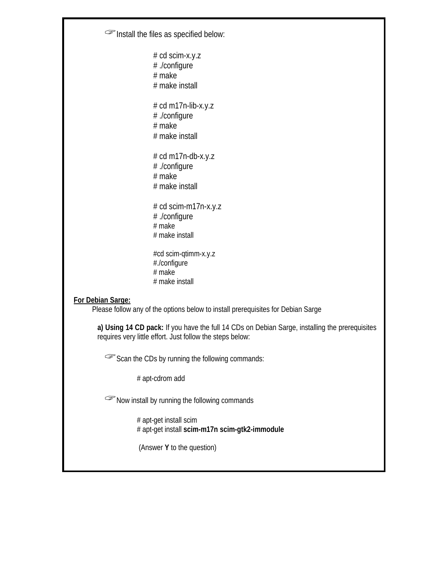Install the files as specified below:

# cd scim-x.y.z # ./configure # make # make install

# cd m17n-lib-x.y.z # ./configure # make # make install

# cd m17n-db-x.y.z # ./configure # make # make install

# cd scim-m17n-x.y.z # ./configure # make # make install

#cd scim-qtimm-x.y.z #./configure # make # make install

#### **For Debian Sarge:**

Please follow any of the options below to install prerequisites for Debian Sarge

**a) Using 14 CD pack:** If you have the full 14 CDs on Debian Sarge, installing the prerequisites requires very little effort. Just follow the steps below:

Scan the CDs by running the following commands:

# apt-cdrom add

**S** Now install by running the following commands

# apt-get install scim # apt-get install **scim-m17n scim-gtk2-immodule**

(Answer **Y** to the question)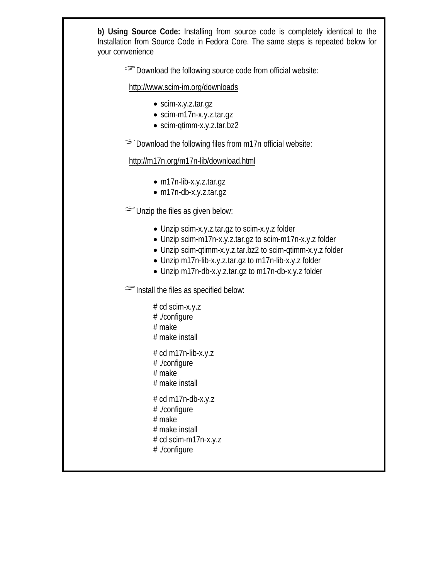**b) Using Source Code:** Installing from source code is completely identical to the Installation from Source Code in Fedora Core. The same steps is repeated below for your convenience

**EXECUTE:** Download the following source code from official website:

http://www.scim-im.org/downloads

- scim-x.y.z.tar.gz
- scim-m17n-x.y.z.tar.gz
- scim-qtimm-x.y.z.tar.bz2

"Download the following files from m17n official website:

http://m17n.org/m17n-lib/download.html

- m17n-lib-x.y.z.tar.gz
- m17n-db-x.y.z.tar.gz

Unzip the files as given below:

- Unzip scim-x.y.z.tar.gz to scim-x.y.z folder
- Unzip scim-m17n-x.y.z.tar.gz to scim-m17n-x.y.z folder
- Unzip scim-qtimm-x.y.z.tar.bz2 to scim-qtimm-x.y.z folder
- Unzip m17n-lib-x.y.z.tar.gz to m17n-lib-x.y.z folder
- Unzip m17n-db-x.y.z.tar.gz to m17n-db-x.y.z folder

"Install the files as specified below:

# cd scim-x.y.z # ./configure # make # make install # cd m17n-lib-x.y.z # ./configure # make # make install # cd m17n-db-x.y.z # ./configure # make # make install # cd scim-m17n-x.y.z # ./configure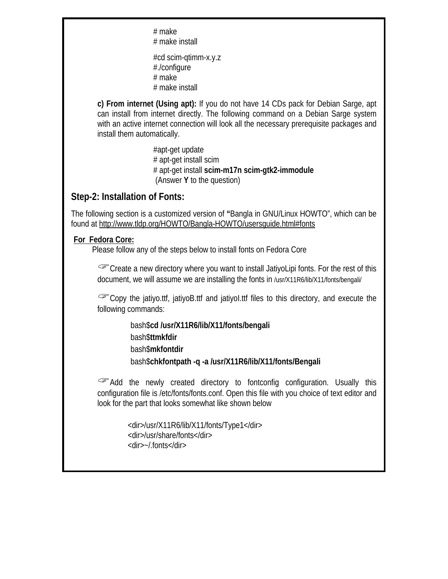# make # make install

#cd scim-qtimm-x.y.z #./configure # make # make install

**c) From internet (Using apt):** If you do not have 14 CDs pack for Debian Sarge, apt can install from internet directly. The following command on a Debian Sarge system with an active internet connection will look all the necessary prerequisite packages and install them automatically.

> #apt-get update # apt-get install scim # apt-get install **scim-m17n scim-gtk2-immodule** (Answer **Y** to the question)

### **Step-2: Installation of Fonts:**

The following section is a customized version of **"**Bangla in GNU/Linux HOWTO", which can be found at http://www.tldp.org/HOWTO/Bangla-HOWTO/usersguide.html#fonts

#### **For Fedora Core:**

Please follow any of the steps below to install fonts on Fedora Core

Create a new directory where you want to install JatiyoLipi fonts. For the rest of this document, we will assume we are installing the fonts in /usr/X11R6/lib/X11/fonts/bengali/

Copy the jatiyo.ttf, jatiyoB.ttf and jatiyol.ttf files to this directory, and execute the following commands:

> bash\$**cd /usr/X11R6/lib/X11/fonts/bengali** bash\$**ttmkfdir**  bash\$**mkfontdir** bash\$**chkfontpath -q -a /usr/X11R6/lib/X11/fonts/Bengali**

"Add the newly created directory to fontconfig configuration. Usually this configuration file is /etc/fonts/fonts.conf. Open this file with you choice of text editor and look for the part that looks somewhat like shown below

> <dir>/usr/X11R6/lib/X11/fonts/Type1</dir> <dir>/usr/share/fonts</dir> <dir>~/.fonts</dir>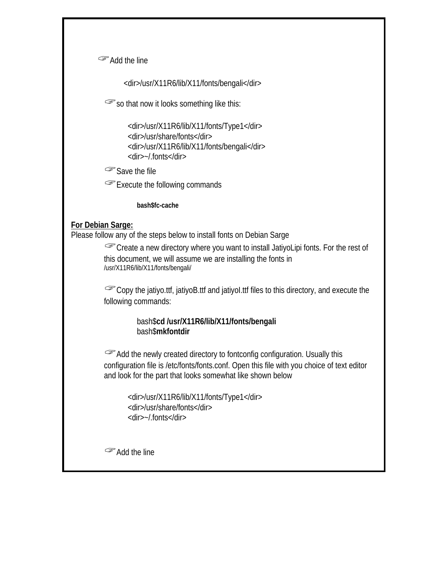"Add the line

<dir>/usr/X11R6/lib/X11/fonts/bengali</dir>

So that now it looks something like this:

 <dir>/usr/X11R6/lib/X11/fonts/Type1</dir> <dir>/usr/share/fonts</dir> <dir>/usr/X11R6/lib/X11/fonts/bengali</dir> <dir>~/.fonts</dir>

"Save the file

 $\mathcal{F}$  Execute the following commands

**bash\$fc-cache**

#### **For Debian Sarge:**

Please follow any of the steps below to install fonts on Debian Sarge

"Create a new directory where you want to install JatiyoLipi fonts. For the rest of this document, we will assume we are installing the fonts in /usr/X11R6/lib/X11/fonts/bengali/

Copy the jatiyo.ttf, jatiyoB.ttf and jatiyol.ttf files to this directory, and execute the following commands:

#### bash\$**cd /usr/X11R6/lib/X11/fonts/bengali** bash\$**mkfontdir**

Add the newly created directory to fontconfig configuration. Usually this configuration file is /etc/fonts/fonts.conf. Open this file with you choice of text editor and look for the part that looks somewhat like shown below

 <dir>/usr/X11R6/lib/X11/fonts/Type1</dir> <dir>/usr/share/fonts</dir> <dir>~/.fonts</dir>

"Add the line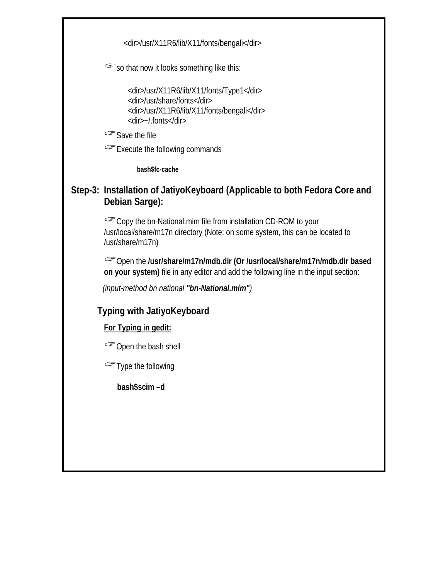<dir>/usr/X11R6/lib/X11/fonts/bengali</dir>

So that now it looks something like this:

 <dir>/usr/X11R6/lib/X11/fonts/Type1</dir> <dir>/usr/share/fonts</dir> <dir>/usr/X11R6/lib/X11/fonts/bengali</dir> <dir>~/.fonts</dir>

Save the file

"Execute the following commands

**bash\$fc-cache** 

#### **Step-3: Installation of JatiyoKeyboard (Applicable to both Fedora Core and Debian Sarge):**

"Copy the bn-National.mim file from installation CD-ROM to your /usr/local/share/m17n directory (Note: on some system, this can be located to /usr/share/m17n)

"Open the **/usr/share/m17n/mdb.dir (Or /usr/local/share/m17n/mdb.dir based on your system)** file in any editor and add the following line in the input section:

 *(input-method bn national "bn-National.mim")* 

### **Typing with JatiyoKeyboard**

#### **For Typing in gedit:**

"Open the bash shell

"Type the following

 **bash\$scim –d**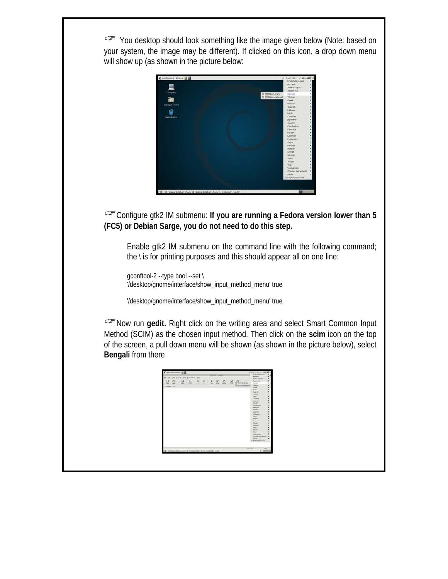You desktop should look something like the image given below (Note: based on your system, the image may be different). If clicked on this icon, a drop down menu will show up (as shown in the picture below:



"Configure gtk2 IM submenu: **If you are running a Fedora version lower than 5 (FC5) or Debian Sarge, you do not need to do this step.**

Enable gtk2 IM submenu on the command line with the following command; the \ is for printing purposes and this should appear all on one line:

gconftool-2 --type bool --set \ '/desktop/gnome/interface/show\_input\_method\_menu' true

'/desktop/gnome/interface/show\_input\_method\_menu' true

"Now run **gedit.** Right click on the writing area and select Smart Common Input Method (SCIM) as the chosen input method. Then click on the **scim** icon on the top of the screen, a pull down menu will be shown (as shown in the picture below), select **Bengali** from there

|              |              |   | Applications Johnny of all |                                                                    |   |        |   |                      |              |   |                    |                                   | Sun Victor 15 Fo are and<br><b>English Haybrard</b> | 뉯<br>٠               |
|--------------|--------------|---|----------------------------|--------------------------------------------------------------------|---|--------|---|----------------------|--------------|---|--------------------|-----------------------------------|-----------------------------------------------------|----------------------|
|              |              |   |                            |                                                                    |   |        |   | <b>Herman System</b> |              |   |                    | Artharic                          |                                                     | ٠                    |
| DA4          |              |   |                            | you paint they pourment only                                       |   |        |   |                      |              |   |                    |                                   | <b>Arabic Illigant</b>                              | ٠                    |
| D            | Ð            | ٠ | 0                          | A                                                                  | ٠ | ٠      | × | 町                    | 靣            | 図 | 崧                  | Assenana                          |                                                     | ٠                    |
| m            | <b>Taken</b> |   | <b>Take</b>                | m                                                                  |   | $\sim$ |   | Take.                | <b>Facts</b> |   | <b>Mitchellen</b>  | <b>Danisle</b>                    |                                                     | ٠                    |
| Leasing X at |              |   |                            |                                                                    |   |        |   |                      |              |   | St Mitte beingend. | <b>Téritain</b>                   |                                                     | ٠                    |
|              |              |   |                            |                                                                    |   |        |   |                      |              |   |                    | Great                             |                                                     | ٠                    |
|              |              |   |                            |                                                                    |   |        |   |                      |              |   |                    | Fernian                           |                                                     | ٠                    |
|              |              |   |                            |                                                                    |   |        |   |                      |              |   |                    | <b>Garet</b>                      |                                                     | ×                    |
|              |              |   |                            |                                                                    |   |        |   |                      |              |   |                    | Instrum                           |                                                     | ï                    |
|              |              |   |                            |                                                                    |   |        |   |                      |              |   |                    | Hindi                             |                                                     | ï                    |
|              |              |   |                            |                                                                    |   |        |   |                      |              |   |                    | Creation                          |                                                     | ٠                    |
|              |              |   |                            |                                                                    |   |        |   |                      |              |   |                    | <b>INFARMER</b>                   |                                                     | ٠                    |
|              |              |   |                            |                                                                    |   |        |   |                      |              |   |                    | <b>Kensin</b><br>Cardioder        |                                                     | ٠                    |
|              |              |   |                            |                                                                    |   |        |   |                      |              |   |                    |                                   |                                                     | ٠                    |
|              |              |   |                            |                                                                    |   |        |   |                      |              |   |                    | Karnada<br><b>Norwall</b>         |                                                     | ٠<br>ï               |
|              |              |   |                            |                                                                    |   |        |   |                      |              |   |                    | Ladhan                            |                                                     | ٠                    |
|              |              |   |                            |                                                                    |   |        |   |                      |              |   |                    |                                   |                                                     |                      |
|              |              |   |                            |                                                                    |   |        |   |                      |              |   |                    | <b>Huizyslam</b>                  |                                                     | ٠                    |
|              |              |   |                            |                                                                    |   |        |   |                      |              |   |                    | <b>Drive</b>                      |                                                     | ٠                    |
|              |              |   |                            |                                                                    |   |        |   |                      |              |   |                    | <b>Hercelo</b>                    |                                                     | $\ddot{\phantom{0}}$ |
|              |              |   |                            |                                                                    |   |        |   |                      |              |   |                    | <b>Norwal</b><br>Moore.           |                                                     |                      |
|              |              |   |                            |                                                                    |   |        |   |                      |              |   |                    | tiebien                           |                                                     | $\ddot{\cdot}$       |
|              |              |   |                            |                                                                    |   |        |   |                      |              |   |                    | Tarrell                           |                                                     | ٠                    |
|              |              |   |                            |                                                                    |   |        |   |                      |              |   |                    | Mag                               |                                                     |                      |
|              |              |   |                            |                                                                    |   |        |   |                      |              |   |                    | that                              |                                                     |                      |
|              |              |   |                            |                                                                    |   |        |   |                      |              |   |                    | <b><i><u>Uladinamente</u></i></b> |                                                     |                      |
|              |              |   |                            |                                                                    |   |        |   |                      |              |   |                    |                                   | <b>Chronic Liergiffied</b>                          | ٠                    |
|              |              |   |                            |                                                                    |   |        |   |                      |              |   |                    | <b>Calved</b>                     |                                                     |                      |
|              |              |   |                            |                                                                    |   |        |   |                      |              |   |                    |                                   | is <b>Important</b> ient                            |                      |
|              |              |   |                            |                                                                    |   |        |   |                      |              |   |                    |                                   |                                                     |                      |
|              |              |   |                            |                                                                    |   |        |   |                      |              |   |                    | <b>LA L-Ead E</b>                 | $^{24}$                                             |                      |
|              |              |   |                            | IS challed below. Form IS (challed below) Point C Limited 1 - polk |   |        |   |                      |              |   |                    |                                   |                                                     |                      |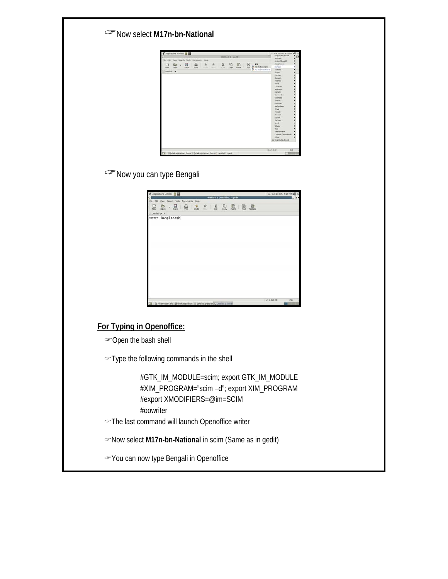| <b>E</b> Applications Actions <b>E MI</b><br>instituted 1 - modif                                                                                                   |                                            | ma rema conme dil in-<br>English/Keyboard                                                                                                                                                       |
|---------------------------------------------------------------------------------------------------------------------------------------------------------------------|--------------------------------------------|-------------------------------------------------------------------------------------------------------------------------------------------------------------------------------------------------|
| Decuments Help<br>Yew Search Sook<br>Ede.<br>s.                                                                                                                     |                                            | <b>Atcharic</b><br>Arabic (Kgypt)                                                                                                                                                               |
| 宅<br>Ø<br>$\frac{36}{24}$<br>9<br>a<br>a<br>$\mathbf{S}$<br>e<br>₿<br>Print.<br>Copy<br>Open<br>Paste<br><b>Save</b><br>Linda<br><b>Types</b><br>NH<br>Lintzled 1 A | 區<br>% H17N-bn-trans<br>W H17N-be-rational | Assamese<br><b>Herizal</b><br>Tibetan<br>Grank                                                                                                                                                  |
|                                                                                                                                                                     |                                            | itabraw<br><b>Hindi</b><br>Croatian<br><b>Japanese</b><br>Kazakh<br>Carribodan<br>Kannada<br><b>Kirean</b><br>Lactfriam<br>Haleyalam<br>Oriya<br>Páriabi<br><b>Pluminer</b><br>tions<br>Serbian |
|                                                                                                                                                                     |                                            | <b>Tarrol</b><br><b>Tekagu</b><br><b>Thui</b><br>Vietnamese<br>Chinese (simplified)<br>Other                                                                                                    |

**When** you can type Bengali

| <b>E</b> Applications Actions <b>EL BAR</b> |           |            |                                         |                                                                                        |   |               |                                                   |                                   |              |                           |              | iii 5un 23 Oct. 5:25 PM Q C |
|---------------------------------------------|-----------|------------|-----------------------------------------|----------------------------------------------------------------------------------------|---|---------------|---------------------------------------------------|-----------------------------------|--------------|---------------------------|--------------|-----------------------------|
|                                             |           |            |                                         |                                                                                        |   |               |                                                   | Untitled 1 (modified) - gedit     |              |                           |              | $-9x$                       |
|                                             |           |            | Ble Edit Vew Search Bols Qocuments Help |                                                                                        |   |               |                                                   |                                   |              |                           |              |                             |
| ⊔<br><b>New</b>                             | ₿<br>Open | 显          | 晨                                       | $\frac{9}{2}$                                                                          | e | $\frac{2}{3}$ | $\bigoplus\limits_{\mathcal{C}\alpha\beta\gamma}$ | $\bigoplus_{\ell\in\mathbb{N}^d}$ | $\mathbf{Q}$ | $\frac{E}{\text{mphere}}$ |              |                             |
| Untitled 1* M                               |           |            |                                         |                                                                                        |   |               |                                                   |                                   |              |                           |              |                             |
| বাংলাদেশ                                    |           | Bangladesh |                                         |                                                                                        |   |               |                                                   |                                   |              |                           |              |                             |
|                                             |           |            |                                         |                                                                                        |   |               |                                                   |                                   |              |                           |              |                             |
|                                             |           |            |                                         | Till El File Browser: sha III shakat@debian; III (shakat@debian) C Untrilled I limodif |   |               |                                                   |                                   |              |                           | Ln 1, Col 23 | ti5                         |

### **For Typing in Openoffice:**

"Open the bash shell

"Type the following commands in the shell

#GTK\_IM\_MODULE=scim; export GTK\_IM\_MODULE #XIM\_PROGRAM="scim –d"; export XIM\_PROGRAM #export XMODIFIERS=@im=SCIM #oowriter

"The last command will launch Openoffice writer

"Now select **M17n-bn-National** in scim (Same as in gedit)

"You can now type Bengali in Openoffice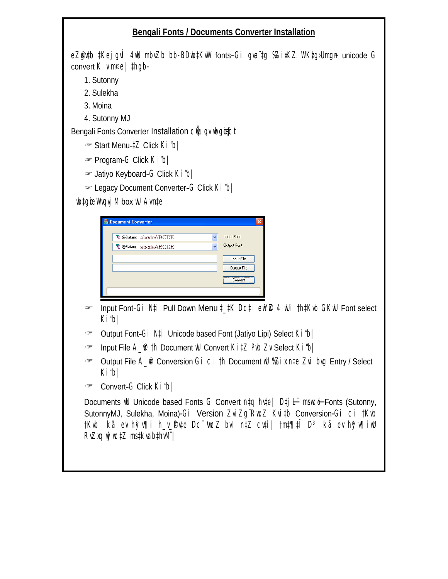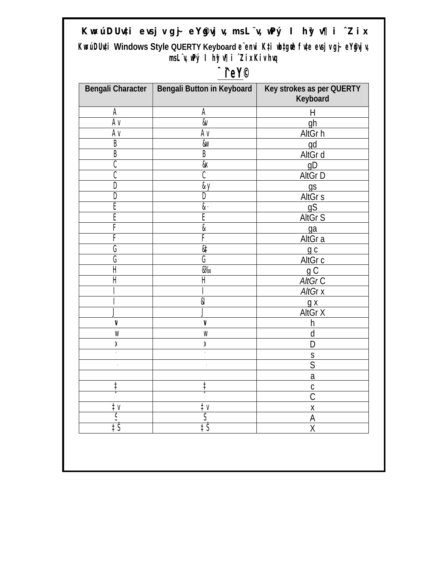|                          | msL'y wy I hy vii ZixKivhu |                                          |
|--------------------------|----------------------------|------------------------------------------|
|                          | <b>-fey©</b>               |                                          |
| <b>Bengali Character</b> | Bengali Button in Keyboard | Key strokes as per QUERTY<br>Keyboard    |
| A                        | A                          | Η                                        |
| Av                       | $\mathbf{a}$               | gh                                       |
| Av                       | Av                         | AltGr h                                  |
| B                        | <b>av</b>                  | qd                                       |
| B                        | B                          | AltGr d                                  |
| C                        | $\mathbf{a}$               | qD                                       |
| C                        | C                          | AltGr D                                  |
| D                        | &y                         | gs                                       |
| D                        | D                          | AltGr <sub>s</sub>                       |
| E                        | &                          | gS                                       |
| E                        | Ē                          | AltGr <sub>S</sub>                       |
| F                        | 8                          | ga                                       |
| F                        | F                          | AltGr a                                  |
| G                        | 8                          | q c                                      |
| G                        | G                          | AltGr c                                  |
| H                        | $\mathbf{a}_{\text{oo}}$   | q C                                      |
| H                        | Н                          | AltGr <sub>C</sub>                       |
| I                        | П                          | AltGr x                                  |
| I                        | a                          | g x                                      |
|                          | J                          | AltGr X                                  |
| V                        | $\mathbf{v}$               | h                                        |
| w                        | w                          | d                                        |
| $\mathbf{I}$             | ı                          | D                                        |
|                          | $\blacksquare$             | S<br>Ś                                   |
|                          |                            |                                          |
|                          |                            | a                                        |
|                          |                            | $\mathsf{C}$<br>$\overline{\mathcal{C}}$ |
| ‡v                       | ‡v                         |                                          |
|                          |                            | Χ                                        |
| ‡Š                       | ij,                        | X                                        |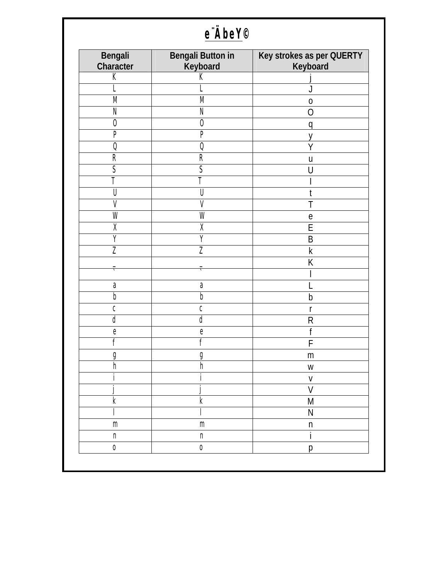# **e¨ÄbeY©**

| Bengali<br>Character    | Bengali Button in<br>Keyboard | Key strokes as per QUERTY<br>Keyboard |
|-------------------------|-------------------------------|---------------------------------------|
| $\overline{\mathbf{K}}$ | $\overline{\mathbf{K}}$       |                                       |
| L                       | L                             |                                       |
| M                       | M                             | $\boldsymbol{0}$                      |
| N                       | N                             | O                                     |
| $\mathbf 0$             | $\mathbf 0$                   | q                                     |
| P                       | P                             | $\vee$                                |
| Q                       | Q                             | Υ                                     |
| R                       | R                             | $\cup$                                |
| S                       | S                             | U                                     |
| $\overline{\mathsf{T}}$ | Т                             |                                       |
| $\overline{\mathbf{U}}$ | U                             | t                                     |
| $\overline{\textbf{v}}$ | $\overline{\textbf{v}}$       | Τ                                     |
| W                       | W                             | $\rm e$                               |
| X                       | X                             | E                                     |
| Ÿ                       | $\overline{\mathbf{Y}}$       | B                                     |
| $\overline{\mathbf{z}}$ | $\overline{\mathbf{z}}$       | $\sf k$                               |
|                         | ▀                             | K                                     |
|                         |                               |                                       |
| a                       | a                             |                                       |
| b                       | b                             | b                                     |
| $\mathbf{c}$            | C                             | r                                     |
| $\mathbf d$             | d                             | R                                     |
| e                       | e                             | $\mathsf{f}$                          |
| f                       | f                             | F                                     |
| g                       | $\overline{9}$                | ${\sf m}$                             |
| $\mathbf{h}$            | $\overline{\mathbf{h}}$       | W                                     |
| Ĩ                       | Ĭ                             | $\sf V$                               |
| j                       | j                             | V                                     |
| $\overline{\mathbf{k}}$ | $\overline{\mathbf{k}}$       | ${\sf M}$                             |
| Т                       | ı                             | ${\sf N}$                             |
| $\mathbf{m}$            | $\mathbf{m}$                  | $\sf n$                               |
| n                       | n                             | i                                     |
| $\mathbf 0$             | $\mathbf 0$                   | p                                     |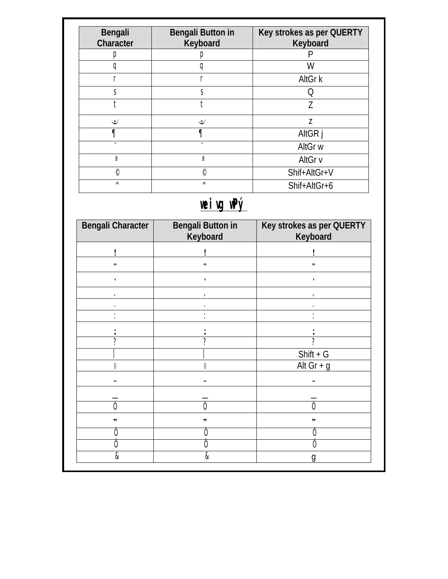| Bengali<br>Character | <b>Bengali Button in</b><br>Keyboard | Key strokes as per QUERTY<br>Keyboard |
|----------------------|--------------------------------------|---------------------------------------|
| p                    |                                      |                                       |
| σ                    |                                      | W                                     |
| г                    |                                      | AltGr k                               |
| S                    | S                                    |                                       |
|                      |                                      | 7                                     |
|                      | ری                                   | $\overline{7}$                        |
|                      |                                      | AltGR j                               |
| $\ddot{\phantom{0}}$ |                                      | AltGr w                               |
| a                    | a                                    | AltGr v                               |
| ◉                    | ◉                                    | Shif+AltGr+V                          |
| $\blacktriangle$     | $\blacktriangle$                     | Shif+AltGr+6                          |

# <u>wig Wý</u>

| <b>Bengali Character</b>   | Bengali Button in<br>Keyboard | Key strokes as per QUERTY<br>Keyboard |
|----------------------------|-------------------------------|---------------------------------------|
|                            |                               |                                       |
| 11                         | 11                            | 11                                    |
| ,                          | ,                             |                                       |
| $\mathbf{I}$               |                               |                                       |
|                            |                               |                                       |
|                            |                               |                                       |
|                            |                               |                                       |
|                            |                               |                                       |
|                            |                               | $Shift + G$                           |
|                            | $\parallel$                   | Alt Gr + $q$                          |
|                            |                               |                                       |
|                            |                               |                                       |
| Ò                          | Ò                             | Ò                                     |
| $\boldsymbol{\mathcal{P}}$ | $\pmb{\mathfrak y}$           | $\pmb{\mathfrak{H}}$                  |
| Ô                          | 0                             | Ô                                     |
| 0                          | O                             | O                                     |
| 8                          | &                             | Ω                                     |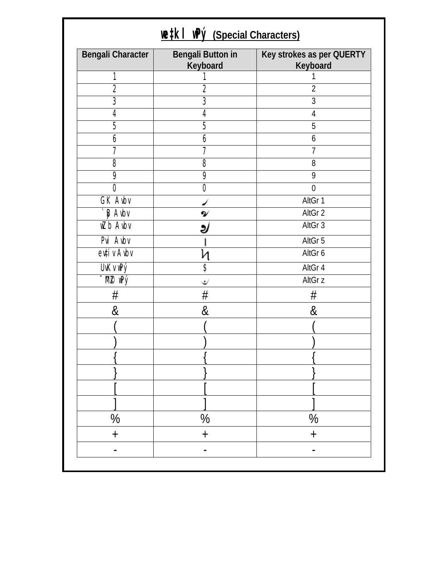# **WIKE WY** (Special Characters)

| <b>Bengali Character</b> | Bengali Button in<br>Keyboard | Key strokes as per QUERTY<br>Keyboard |
|--------------------------|-------------------------------|---------------------------------------|
| 1                        | 1                             | 1                                     |
| 2                        | 2                             | 2                                     |
| 3                        | 3                             | $\mathfrak{Z}$                        |
| 4                        | 4                             | $\overline{4}$                        |
| 5                        | 5                             | 5                                     |
| 6                        | 6                             | $\boldsymbol{6}$                      |
| 7                        | 7                             | $\overline{7}$                        |
| 8                        | 8                             | 8                                     |
| 9                        | 9                             | 9                                     |
| O                        | $\bullet$                     | $\overline{0}$                        |
| <b>GK Aubv</b>           |                               | AltGr 1                               |
| <b>S</b> Abv             | V                             | AltGr 2                               |
| <b>uZb Aubv</b>          |                               | AltGr 3                               |
| Pui Aubv                 |                               | AltGr <sub>5</sub>                    |
| <b>etivAbv</b>           |                               | AltGr 6                               |
| <b>UKvPý</b>             | \$                            | AltGr 4                               |
| <b>The Dy</b>            | پ                             | AltGr z                               |
| #                        | $\#$                          | #                                     |
| &                        | &                             | &                                     |
|                          |                               |                                       |
|                          |                               |                                       |
|                          |                               |                                       |
|                          |                               |                                       |
|                          |                               |                                       |
|                          |                               |                                       |
| $\%$                     | $\%$                          | $\%$                                  |
| $\boldsymbol{+}$         | $\boldsymbol{+}$              | $\ddagger$                            |
|                          |                               |                                       |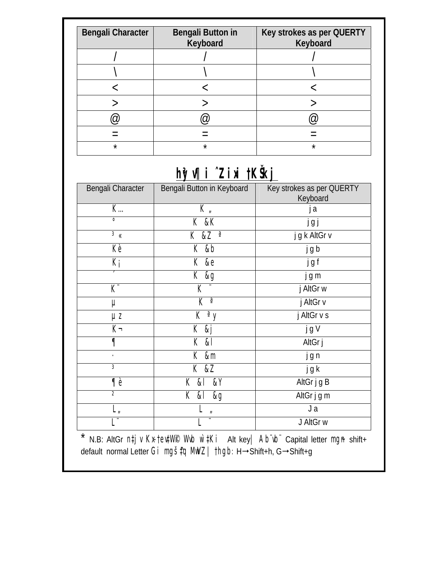| <b>Bengali Character</b> | <b>Bengali Button in</b><br>Keyboard | Key strokes as per QUERTY<br>Keyboard |
|--------------------------|--------------------------------------|---------------------------------------|
|                          |                                      |                                       |
|                          |                                      |                                       |
|                          |                                      |                                       |
|                          |                                      |                                       |
| $\alpha$                 | ω                                    |                                       |
|                          |                                      |                                       |
| $\star$                  | $\star$                              | $\star$                               |

# **hy³v¶i ˆZixi †KŠkj**

| Bengali Character         | Bengali Button in Keyboard | Key strokes as per QUERTY<br>Keyboard |
|---------------------------|----------------------------|---------------------------------------|
| K                         | $K_{n}$                    | j a                                   |
| $\bullet$                 | K &K                       | jgj                                   |
| $\mathbf{3}_{\textit{N}}$ | <b>K &amp;Z</b> a          | j g k AltGr v                         |
| Kè                        | K &b                       | jgb                                   |
| $K_i$                     | K &e                       | jgf                                   |
| $\overline{\phantom{a}}$  | K &g                       | j g m                                 |
| $\mathbf{K}$              | <b>K</b>                   | j AltGr w                             |
| μ                         | K <sup>a</sup>             | j AltGr v                             |
| $\mu$                     | K <sup>a</sup> y           | j AltGr v s                           |
| K¬                        | K &j                       | jgV                                   |
| 1                         | K &I                       | AltGr j                               |
|                           | K &m                       | jgn                                   |
| 3                         | <b>K &amp;Z</b>            | jgk                                   |
| <b>¶è</b>                 | K &I &Y                    | AltGr j g B                           |
| 2                         | <b>K &amp;l &amp;g</b>     | AltGr j g m                           |
| $L_{\prime \prime}$       | $\boldsymbol{H}$           | J a                                   |
| Ľ                         |                            | J AltGr w                             |

\* N.B: AltGr  $\mathsf{ntjvK}$ rtev $\mathsf{Wb}$  Wb w $\mathsf{tK}$ i Alt key| Ab¨vb¨ Capital letter mgn shift+ default normal Letter Gi mgš‡q MWZ| †hgb: H→Shift+h, G→Shift+g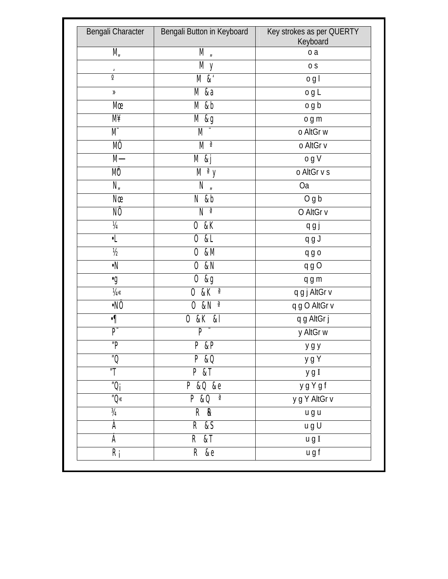| Bengali Character   | Bengali Button in Keyboard   | Key strokes as per QUERTY<br>Keyboard |
|---------------------|------------------------------|---------------------------------------|
| M,                  | $M_{\prime\prime}$           | o a                                   |
| ٠                   | M y                          | 0S                                    |
| $\bullet$           | M &                          | o g l                                 |
| $\pmb{\gg}$         | M &a                         | o g L                                 |
| <b>Me</b>           | M &b                         | o g b                                 |
| M¥                  | <b>M</b> &g                  | o g m                                 |
| M                   | $\blacksquare$               | o AltGr w                             |
| <b>NÖ</b>           | M <sup>a</sup>               | o AltGr v                             |
| M-                  | M &j                         | o g V                                 |
| ΝÖ                  | M <sup>a</sup> y             | o AltGr v s                           |
| $N_{rr}$            | $\mathbf{N}_{n}$             | Oa                                    |
| <b>Nœ</b>           | N &b                         | $O$ g b                               |
| <b>NÖ</b>           | N <sup>a</sup>               | O AltGr v                             |
| 1⁄4                 | 0 <sub>k</sub> K             | qgj                                   |
| d,                  | $0$ &L                       | qgJ                                   |
| $\frac{1}{2}$       | $0 \& M$                     | q g o                                 |
| <b>J</b>            | <b>&amp;N</b><br>$\mathbf 0$ | q g O                                 |
| <b>g</b>            | &g<br>0                      | q g m                                 |
| $\frac{1}{4}$       | $0$ &K $a$                   | q g j AltGr v                         |
| <b>-NÖ</b>          | $0$ &N $a$                   | q g O AltGr v                         |
| <b>1</b>            | 0 &K &I                      | q g AltGr j                           |
| b.                  | P                            | y AltGr w                             |
| $\mathbf{P}$        | P &P                         | ygy                                   |
| <b>Q</b>            | <b>P &amp;Q</b>              | y g Y                                 |
| $^{\prime\prime}$ T | P &T                         | ygI                                   |
| $\mathbf{r}$        | <b>P &amp;Q &amp;e</b>       | ygYgf                                 |
| 'Qu                 | <b>P &amp;Q</b> a            | y g Y AltGr v                         |
| $\frac{3}{4}$       | R R                          | u g u                                 |
| À                   | <b>R&amp;S</b>               | u g U                                 |
| Á                   | <b>R &amp;T</b>              | $u \nsubseteq I$                      |
| $R_i$               | R &e                         | ugf                                   |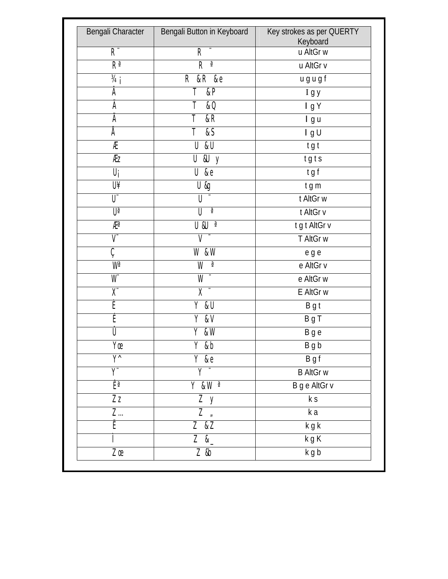| Bengali Character       | Bengali Button in Keyboard           | Key strokes as per QUERTY<br>Keyboard |
|-------------------------|--------------------------------------|---------------------------------------|
| $R^{\cdot \cdot}$       | $\ddot{\phantom{0}}$<br>R            | u AltGr w                             |
| R <sup>a</sup>          | a<br>R                               | u AltGr v                             |
| $\frac{3}{4}$           | <b>R &amp;R &amp;e</b>               | ugugf                                 |
| Â                       | T &P                                 | I g y                                 |
| Ã                       | <b>T&amp;Q</b>                       | I g Y                                 |
| Ä                       | T&R                                  | I g u                                 |
| Å                       | T&S                                  | I g U                                 |
| Æ                       | <b>U &amp;U</b>                      | t g t                                 |
| Æz                      | U & y                                | tgts                                  |
| 4                       | <b>U</b> &e                          | t g f                                 |
| <b>U¥</b>               | U ag                                 | t g m                                 |
| Q.                      | $\ddot{\phantom{0}}$<br>U            | t AltGr w                             |
| <b>U<sup>P</sup></b>    | U<br>а                               | t AltGr v                             |
| Æ                       | $U$ $dJ$ $a$                         | t g t AltGr v                         |
| Ī.                      | $\mathbf{V}$                         | T AltGr w                             |
| Ç                       | W &W                                 | ege                                   |
| W                       | a<br>W                               | e AltGr v                             |
| W                       | $\mathbf{w}$                         | e AltGr w                             |
| X.                      | $\boldsymbol{X}$                     | E AltGr w                             |
| È                       | Y &U                                 | Bgt                                   |
| É                       | Y &V                                 | BgT                                   |
| Û                       | Y &W                                 | <b>B</b> ge                           |
| Yœ                      | Y<br>&b                              | B g b                                 |
| <b>γ^</b>               | Y &e                                 | Bgf                                   |
| $\overline{\mathbf{Y}}$ | $\overline{\mathbf{V}^{\mathbf{m}}}$ | <b>B AltGr w</b>                      |
| ʪ                       | Y &W <sup>a</sup>                    | B g e AltGr v                         |
| Zz                      | Z y                                  | k s                                   |
| Z                       | $\overline{z}$                       | k a                                   |
| Ë                       | Z &Z                                 | k g k                                 |
|                         | $Z$ &                                | k g K                                 |
| Zœ                      | 2 <sub>b</sub>                       | k g b                                 |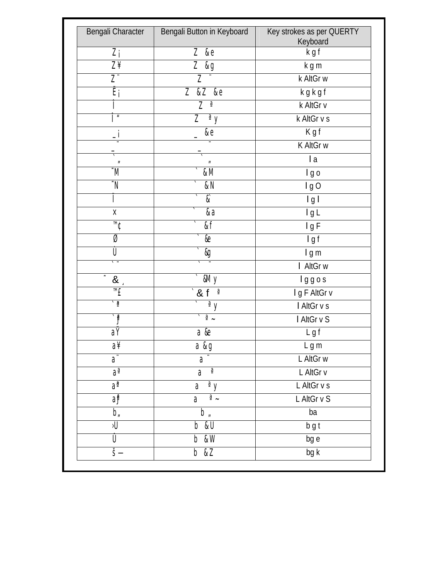| Bengali Character               | Bengali Button in Keyboard | Key strokes as per QUERTY<br>Keyboard |
|---------------------------------|----------------------------|---------------------------------------|
| $z_i$                           | $Z$ &e                     | k g f                                 |
| Z¥                              | <b>Z</b> &g                | k g m                                 |
| $\mathbf{Z}^n$                  | z                          | k AltGr w                             |
| Ëi                              | <b>Z &amp;Z &amp;e</b>     | kgkgf                                 |
| Î                               | Z<br>a                     | k AltGr v                             |
| T"                              | $\mathbf{a}$ y<br>Z        | k AltGr v s                           |
| _i                              | &e                         | Kgf                                   |
|                                 |                            | K AltGr w                             |
| $\boldsymbol{H}$                | 11                         | l a                                   |
| ~M                              | &M                         | I g o                                 |
| ~N                              | <b>&amp;N</b>              | lgO                                   |
| Î                               | E                          | l g l                                 |
| ×                               | &a                         | lgL                                   |
| <b>TING</b>                     | &f                         | I g F                                 |
| Ø                               | æ                          | I g f                                 |
| Ù                               | Ŋ                          | I g m                                 |
| ٠.                              | $\bullet\bullet$           | I AltGr w                             |
| $\tilde{\phantom{a}}$<br>& ,    | <b>ally</b>                | Iggos                                 |
| <b>TIVE</b>                     | $\delta$ f<br>a            | I g F AltGr v                         |
| $\cdot$ a                       | $\overline{a}$ y           | I AltGr v s                           |
| $\mathbf{r}$                    | $\overline{\mathbf{a}}$    | I AltGr v S                           |
| aŸ                              | a æ                        | Lgf                                   |
| a¥                              | a &a                       | L g m                                 |
| $\overline{\mathbf{a}^{\cdot}}$ | <br>a                      | L AltGr w                             |
| a <sup>a</sup>                  | a<br>a                     | L AltGr v                             |
| a"                              | $\mathbf{a}$ y<br>a        | L AltGr v s                           |
| af                              | $a_{\sim}$<br>a            | L AltGr v S                           |
| $\mathbf{b}_{\prime\prime}$     | $\mathbf{b}_n$             | ba                                    |
| J                               | <b>b</b> &U                | bgt                                   |
| Û                               | <b>b</b> &W                | bg e                                  |
| Š—                              | b <sub>8</sub> Z           | bg k                                  |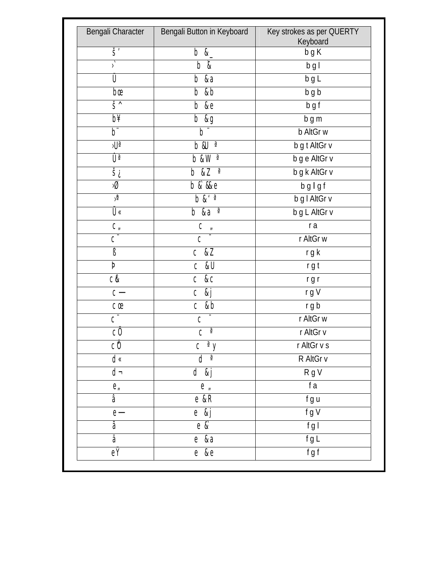| Bengali Character               | Bengali Button in Keyboard | Key strokes as per QUERTY<br>Keyboard |
|---------------------------------|----------------------------|---------------------------------------|
| Š                               | $b$ &                      | bgK                                   |
| <sup>1</sup>                    | <b>b</b> &                 | b g l                                 |
| Ü                               | $b$ &a                     | b g L                                 |
| bœ                              | $b$ & $b$                  | b g b                                 |
| Š^                              | $b$ &e                     | b g f                                 |
| b¥                              | $b$ &g                     | b g m                                 |
| $\mathbf{b}$                    | $\mathbf{b}$               | b AltGr w                             |
| <b>JP</b>                       | $b$ $8J$ $a$               | b g t AltGr v                         |
| Ûª                              | $b$ &W $a$                 | b g e AltGr v                         |
| Šį                              | $b$ &Z $a$                 | b g k AltGr v                         |
| λØ                              | b & & &                    | $bg$ lgf                              |
| $\boldsymbol{\zeta}^{\text{a}}$ | $b \&^a$                   | b g I AltGr v                         |
| <b>Ü</b> <sub>W</sub>           | $b$ &a $a$                 | b g L AltGr v                         |
| $\mathbf{c}_n$                  | c <sub>''</sub>            | r a                                   |
| $\mathbf{c}$ .                  | $\mathbf{c}$               | r AltGr w                             |
| ß                               | c <sub>8</sub> Z           | r g k                                 |
| Þ                               | c &U                       | r g t                                 |
| <b>Cê</b>                       | $c$ & $c$                  | rgr                                   |
| $c -$                           | c <sub>ij</sub>            | r g V                                 |
| <b>Cœ</b>                       | c &b                       | r g b                                 |
| $\mathbf{c}$                    | $\ddot{\phantom{0}}$<br>C  | r AltGr w                             |
| <b>cÖ</b>                       | a<br>C                     | r AltGr v                             |
| <b>cÖ</b>                       | $ca$ v                     | r AltGr v s                           |
| d«                              | a<br>$\mathbf d$           | R AltGr v                             |
| d¬                              | d &j                       | RgV                                   |
| $e_{\prime\prime}$              | e <sub>''</sub>            | f a                                   |
| â                               | e &R                       | f g u                                 |
| $e-$                            | e &j                       | f g V                                 |
| ã                               | e &                        | fgl                                   |
| ä                               | $e$ &a                     | fgL                                   |
| eŸ                              | e &e                       | $\overline{f}$ g f                    |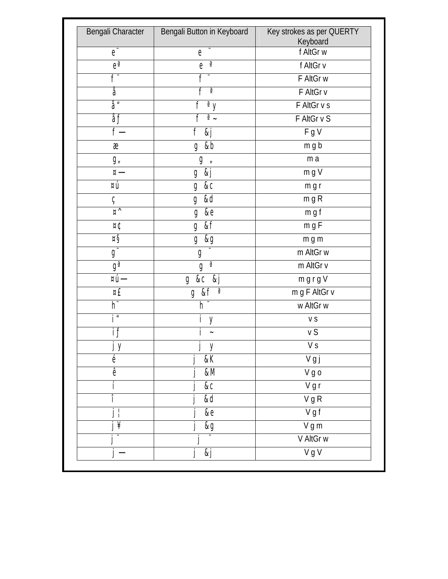| Bengali Character                             | Bengali Button in Keyboard            | Key strokes as per QUERTY<br>Keyboard |
|-----------------------------------------------|---------------------------------------|---------------------------------------|
| $\ddot{\mathbf{e}}$                           | $\ddot{\phantom{0}}$<br>e             | f AltGr w                             |
| $e^a$                                         | a<br>e                                | f AltGr v                             |
| Ł.                                            |                                       | F AltGr w                             |
| å                                             | a                                     | F AltGr v                             |
| $\frac{a^{\prime \prime}}{a^{\prime \prime}}$ | $\mathbf{a}$ y                        | F AltGr v s                           |
| åf                                            | $^{\mathbf{a}}$ $\mathbf{\mathbf{v}}$ | F AltGr v S                           |
| $f -$                                         | f &j                                  | FgV                                   |
| æ                                             | g &b                                  | m g b                                 |
| $g_{\prime\prime}$                            | g<br>$\boldsymbol{H}$                 | m a                                   |
| $\overline{\mathbf{u}}$ –                     | g &j                                  | m g V                                 |
| ۵ú                                            | &c<br>g                               | mgr                                   |
| Ç                                             | &d<br>g                               | m g R                                 |
| $\overline{\mathbf{u}}_{\mathbf{v}}$          | &e<br>g                               | m g f                                 |
| ¤¢                                            | &f<br>g                               | m g F                                 |
| ¤§                                            | &g<br>g                               | m g m                                 |
| g¨                                            | g                                     | m AltGr w                             |
| $ga$                                          | a<br>g                                | m AltGr v                             |
| $\mathbf{u}$ ú $-$                            | g &c &j                               | mgrgV                                 |
| ¤£                                            | a<br>&f<br>g                          | m g F AltGr v                         |
| <b>h</b>                                      | $\mathbf{h}$ .                        | w AltGr w                             |
| $\mathbf{i}''$                                | i<br>y                                | V S                                   |
| ij                                            |                                       | v S                                   |
| <u>jy</u>                                     | y<br>◢                                | V s                                   |
| é                                             | <b>&amp;K</b>                         | Vgj                                   |
| ê                                             | <b>&amp;M</b>                         | V g o                                 |
| í                                             | &c                                    | V g r                                 |
| Î                                             | &d                                    | V g R                                 |
| j¦                                            | j<br>&e                               | $\bar{V}$ g f                         |
| j¥                                            | j<br>&g                               | V g m                                 |
|                                               | j                                     | V AltGr w                             |
| $j -$                                         | j &j                                  | V g V                                 |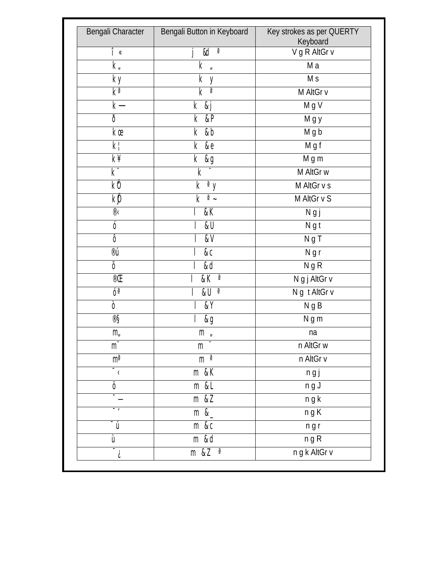| Bengali Character        | Bengali Button in Keyboard       | Key strokes as per QUERTY<br>Keyboard |
|--------------------------|----------------------------------|---------------------------------------|
| Ϋ                        | а<br>8d<br>Ĵ.                    | V g R AltGr v                         |
| $\mathbf{k}_n$           | $\mathbf{k}$ <sub><i>n</i></sub> | M a                                   |
| ky                       | k y                              | M s                                   |
| $k^a$                    | k <sup>a</sup>                   | M AltGr v                             |
| $k-$                     | k &j                             | MgV                                   |
| ð                        | <b>k &amp;P</b>                  | Mgy                                   |
| kœ                       | k &b                             | M g b                                 |
| k¦                       | k &e                             | M g f                                 |
| k¥                       | k &g                             | M g m                                 |
| $\overline{\mathbf{K}}$  | $\bf k$                          | M AltGr w                             |
| kÖ                       | k <sup>a</sup> y                 | M AltGr v s                           |
| kÿ                       | k <sup>a</sup> ~                 | M AltGr v S                           |
| $\mathbf{R}$             | $\blacksquare$                   | Ngj                                   |
| Ó                        | <b>&amp;U</b>                    | N g t                                 |
| Ô                        | <b>&amp;V</b>                    | NgT                                   |
| qí                       | &c                               | Ngr                                   |
| Õ                        | <b>1 &amp;d</b>                  | N g R                                 |
| <b>q</b>                 | &K a                             | N g j AltGr v                         |
| óª                       | &U <sup>a</sup><br>ı             | N g t AltGr v                         |
| Ò                        | &Y                               | NgB                                   |
| <b>eg</b>                | $\blacksquare$                   | N g m                                 |
| $m_{\rm r}$              | $m_{n}$                          | na                                    |
| mï                       | $\bullet\bullet$<br>m            | n AltGr w                             |
| m                        | m <sup>a</sup>                   | n AltGr v                             |
| $\mathbf{r}$             | m &K                             | ngj                                   |
| Ö                        | m &L                             | n g J                                 |
|                          | m <sub>8Z</sub>                  | n g k                                 |
| $\overline{\phantom{a}}$ | m <sub>2</sub>                   | n g K                                 |
| ĨÚ                       | m &c                             | n g r                                 |
| ù                        | m &d                             | n g R                                 |
| ີເ                       | $m$ &Z $a$                       | n g k AltGr v                         |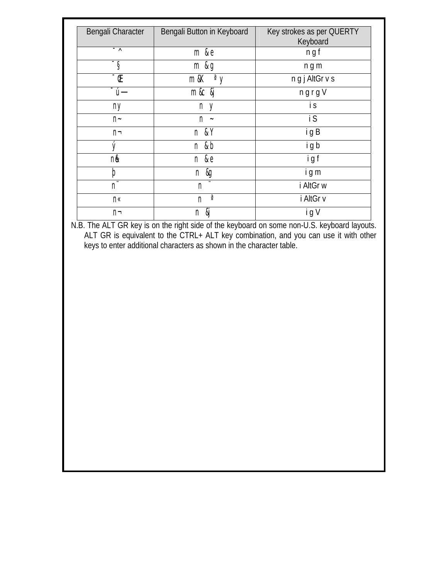| Bengali Character   | Bengali Button in Keyboard | Key strokes as per QUERTY<br>Keyboard |
|---------------------|----------------------------|---------------------------------------|
| $-{\bf A}$          | m &e                       | n g f                                 |
| -§                  | m &g                       | n g m                                 |
|                     | m <b>a</b> ay              | n g j AltGr v s                       |
| Ú-                  | m& §                       | ngrgV                                 |
| <b>ny</b>           | n y                        | is                                    |
| n~                  | n.                         | i S                                   |
| m                   | <b>n</b> & <b>Y</b>        | igB                                   |
| ý                   | n &b                       | i g b                                 |
| <b>n&amp;</b>       | n &e                       | igf                                   |
| þ                   | n a                        | i g m                                 |
| $\ddot{\mathbf{m}}$ | <br>n                      | i AltGr w                             |
| <b>IK</b>           | a<br>n                     | i AltGr v                             |
| m                   | å<br>n                     | i g V                                 |

N.B. The ALT GR key is on the right side of the keyboard on some non-U.S. keyboard layouts. ALT GR is equivalent to the CTRL+ ALT key combination, and you can use it with other keys to enter additional characters as shown in the character table.